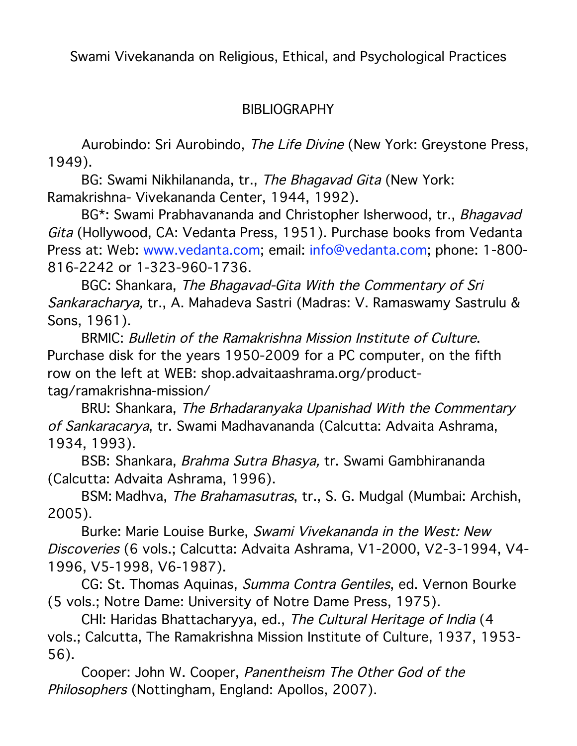Swami Vivekananda on Religious, Ethical, and Psychological Practices

## BIBLIOGRAPHY

Aurobindo: Sri Aurobindo, The Life Divine (New York: Greystone Press, 1949).

BG: Swami Nikhilananda, tr., The Bhagavad Gita (New York: Ramakrishna- Vivekananda Center, 1944, 1992).

BG\*: Swami Prabhavananda and Christopher Isherwood, tr., Bhagavad Gita (Hollywood, CA: Vedanta Press, 1951). Purchase books from Vedanta Press at: Web: www.vedanta.com; email: info@vedanta.com; phone: 1-800- 816-2242 or 1-323-960-1736.

BGC: Shankara, The Bhagavad-Gita With the Commentary of Sri Sankaracharya, tr., A. Mahadeva Sastri (Madras: V. Ramaswamy Sastrulu & Sons, 1961).

BRMIC: Bulletin of the Ramakrishna Mission Institute of Culture. Purchase disk for the years 1950-2009 for a PC computer, on the fifth row on the left at WEB: shop.advaitaashrama.org/producttag/ramakrishna-mission/

BRU: Shankara, The Brhadaranyaka Upanishad With the Commentary of Sankaracarya, tr. Swami Madhavananda (Calcutta: Advaita Ashrama, 1934, 1993).

BSB: Shankara, Brahma Sutra Bhasya, tr. Swami Gambhirananda (Calcutta: Advaita Ashrama, 1996).

BSM: Madhva, The Brahamasutras, tr., S. G. Mudgal (Mumbai: Archish, 2005).

Burke: Marie Louise Burke, Swami Vivekananda in the West: New Discoveries (6 vols.; Calcutta: Advaita Ashrama, V1-2000, V2-3-1994, V4- 1996, V5-1998, V6-1987).

CG: St. Thomas Aquinas, Summa Contra Gentiles, ed. Vernon Bourke (5 vols.; Notre Dame: University of Notre Dame Press, 1975).

CHI: Haridas Bhattacharyya, ed., The Cultural Heritage of India (4 vols.; Calcutta, The Ramakrishna Mission Institute of Culture, 1937, 1953- 56).

Cooper: John W. Cooper, Panentheism The Other God of the Philosophers (Nottingham, England: Apollos, 2007).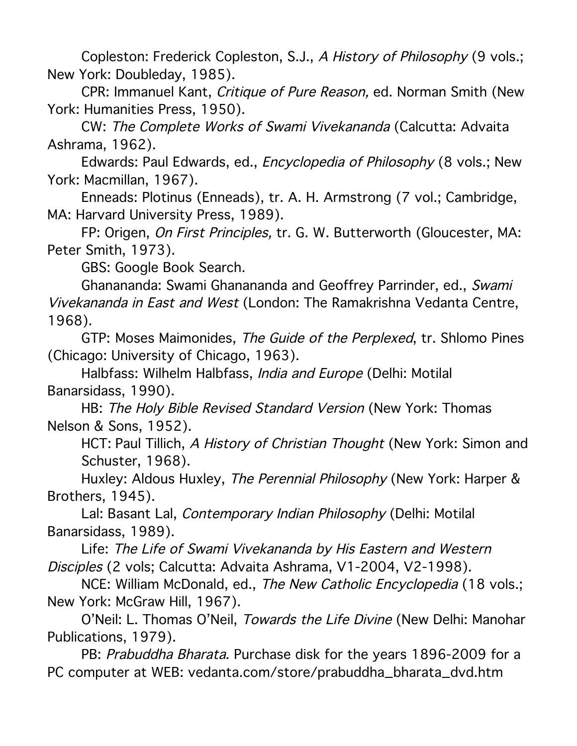Copleston: Frederick Copleston, S.J., A History of Philosophy (9 vols.; New York: Doubleday, 1985).

CPR: Immanuel Kant, Critique of Pure Reason, ed. Norman Smith (New York: Humanities Press, 1950).

CW: The Complete Works of Swami Vivekananda (Calcutta: Advaita Ashrama, 1962).

Edwards: Paul Edwards, ed., Encyclopedia of Philosophy (8 vols.; New York: Macmillan, 1967).

Enneads: Plotinus (Enneads), tr. A. H. Armstrong (7 vol.; Cambridge, MA: Harvard University Press, 1989).

FP: Origen, On First Principles, tr. G. W. Butterworth (Gloucester, MA: Peter Smith, 1973).

GBS: Google Book Search.

Ghanananda: Swami Ghanananda and Geoffrey Parrinder, ed., Swami Vivekananda in East and West (London: The Ramakrishna Vedanta Centre, 1968).

GTP: Moses Maimonides, The Guide of the Perplexed, tr. Shlomo Pines (Chicago: University of Chicago, 1963).

Halbfass: Wilhelm Halbfass, India and Europe (Delhi: Motilal Banarsidass, 1990).

HB: The Holy Bible Revised Standard Version (New York: Thomas Nelson & Sons, 1952).

HCT: Paul Tillich, A History of Christian Thought (New York: Simon and Schuster, 1968).

Huxley: Aldous Huxley, The Perennial Philosophy (New York: Harper & Brothers, 1945).

Lal: Basant Lal, Contemporary Indian Philosophy (Delhi: Motilal Banarsidass, 1989).

Life: The Life of Swami Vivekananda by His Eastern and Western Disciples (2 vols; Calcutta: Advaita Ashrama, V1-2004, V2-1998).

NCE: William McDonald, ed., The New Catholic Encyclopedia (18 vols.; New York: McGraw Hill, 1967).

O'Neil: L. Thomas O'Neil, Towards the Life Divine (New Delhi: Manohar Publications, 1979).

PB: Prabuddha Bharata. Purchase disk for the years 1896-2009 for a PC computer at WEB: vedanta.com/store/prabuddha\_bharata\_dvd.htm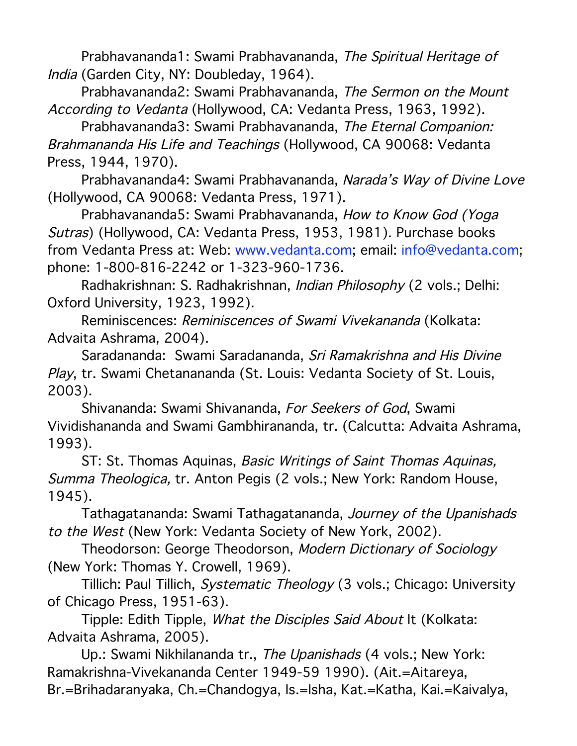Prabhavananda1: Swami Prabhavananda, The Spiritual Heritage of India (Garden City, NY: Doubleday, 1964).

Prabhavananda2: Swami Prabhavananda, The Sermon on the Mount According to Vedanta (Hollywood, CA: Vedanta Press, 1963, 1992).

Prabhavananda3: Swami Prabhavananda, The Eternal Companion: Brahmananda His Life and Teachings (Hollywood, CA 90068: Vedanta Press, 1944, 1970).

Prabhavananda4: Swami Prabhavananda, Narada's Way of Divine Love (Hollywood, CA 90068: Vedanta Press, 1971).

Prabhavananda5: Swami Prabhavananda, How to Know God (Yoga Sutras) (Hollywood, CA: Vedanta Press, 1953, 1981). Purchase books from Vedanta Press at: Web: www.vedanta.com; email: info@vedanta.com; phone: 1-800-816-2242 or 1-323-960-1736.

Radhakrishnan: S. Radhakrishnan, Indian Philosophy (2 vols.; Delhi: Oxford University, 1923, 1992).

Reminiscences: Reminiscences of Swami Vivekananda (Kolkata: Advaita Ashrama, 2004).

Saradananda: Swami Saradananda, Sri Ramakrishna and His Divine Play, tr. Swami Chetanananda (St. Louis: Vedanta Society of St. Louis, 2003).

Shivananda: Swami Shivananda, For Seekers of God, Swami Vividishananda and Swami Gambhirananda, tr. (Calcutta: Advaita Ashrama, 1993).

ST: St. Thomas Aquinas, Basic Writings of Saint Thomas Aquinas, Summa Theologica, tr. Anton Pegis (2 vols.; New York: Random House, 1945).

Tathagatananda: Swami Tathagatananda, Journey of the Upanishads to the West (New York: Vedanta Society of New York, 2002).

Theodorson: George Theodorson, Modern Dictionary of Sociology (New York: Thomas Y. Crowell, 1969).

Tillich: Paul Tillich, Systematic Theology (3 vols.; Chicago: University of Chicago Press, 1951-63).

Tipple: Edith Tipple, What the Disciples Said About It (Kolkata: Advaita Ashrama, 2005).

Up.: Swami Nikhilananda tr., The Upanishads (4 vols.; New York: Ramakrishna-Vivekananda Center 1949-59 1990). (Ait.=Aitareya, Br.=Brihadaranyaka, Ch.=Chandogya, Is.=Isha, Kat.=Katha, Kai.=Kaivalya,